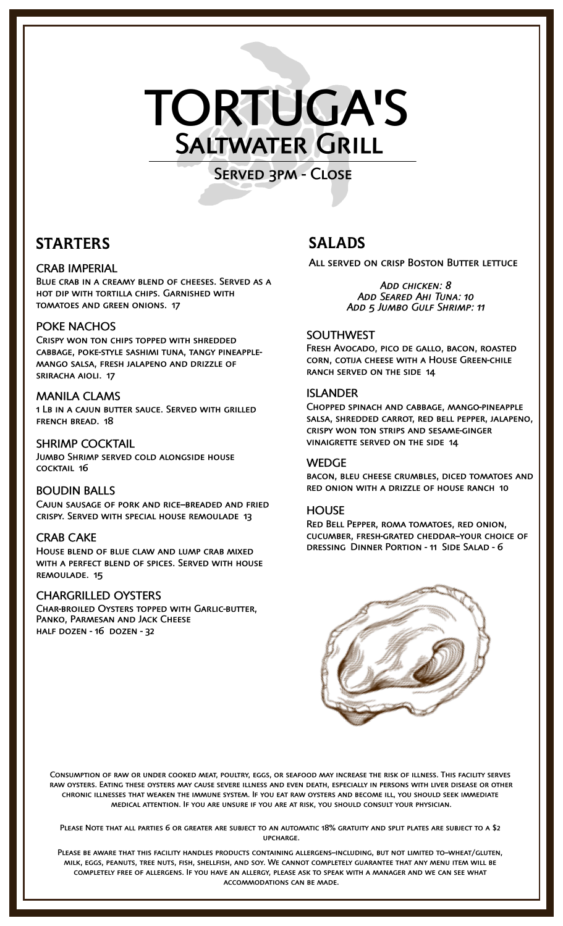# TORTUGA'S Saltwater Grill

Served 3pm - Close

# STARTERS

# CRAB IMPERIAL

Blue crab in a creamy blend of cheeses. Served as a hot dip with tortilla chips. Garnished with tomatoes and green onions. 17

# POKE NACHOS

Crispy won ton chips topped with shredded cabbage, poke-style sashimi tuna, tangy pineapplemango salsa, fresh jalapeno and drizzle of sriracha aioli. 17

# MANILA CLAMS

1 Lb in a cajun butter sauce. Served with grilled french bread. 18

# SHRIMP COCKTAIL

Jumbo Shrimp served cold alongside house cocktail 16

# BOUDIN BALLS

CAJUN SAUSAGE OF PORK AND RICE-BREADED AND FRIED crispy. Served with special house remoulade 13

# CRAB CAKE

House blend of blue claw and lump crab mixed with a perfect blend of spices. Served with house remoulade. 15

# CHARGRILLED OYSTERS

Char-broiled Oysters topped with Garlic-butter, Panko, Parmesan and Jack Cheese half dozen - 16 dozen - 32

# SALADS

ALL SERVED ON CRISP BOSTON BUTTER LETTUCE

*Add chicken: 8 Add Seared Ahi Tuna: 10 Add 5 Jumbo Gulf Shrimp: 11*

# SOUTHWEST

Fresh Avocado, pico de gallo, bacon, roasted corn, cotija cheese with a House Green-chile ranch served on the side 14

# ISLANDER

Chopped spinach and cabbage, mango-pineapple salsa, shredded carrot, red bell pepper, jalapeno, crispy won ton strips and sesame-ginger vinaigrette served on the side 14

## **WEDGE**

bacon, bleu cheese crumbles, diced tomatoes and red onion with a drizzle of house ranch 10

# **HOUSE**

Red Bell Pepper, roma tomatoes, red onion, cucumber, fresh-grated cheddar--your choice of dressing Dinner Portion - 11 Side Salad - 6



Consumption of raw or under cooked meat, poultry, eggs, or seafood may increase the risk of illness. This facility serves raw oysters. Eating these oysters may cause severe illness and even death, especially in persons with liver disease or other chronic illnesses that weaken the immune system. If you eat raw oysters and become ill, you should seek immediate medical attention. If you are unsure if you are at risk, you should consult your physician.

Please Note that all parties 6 or greater are subject to an automatic 18% gratuity and split plates are subject to a \$2 upcharge.

PLEASE BE AWARE THAT THIS FACILITY HANDLES PRODUCTS CONTAINING ALLERGENS-INCLUDING, BUT NOT LIMITED TO-WHEAT/GLUTEN, milk, eggs, peanuts, tree nuts, fish, shellfish, and soy. We cannot completely guarantee that any menu item will be completely free of allergens. If you have an allergy, please ask to speak with a manager and we can see what accommodations can be made.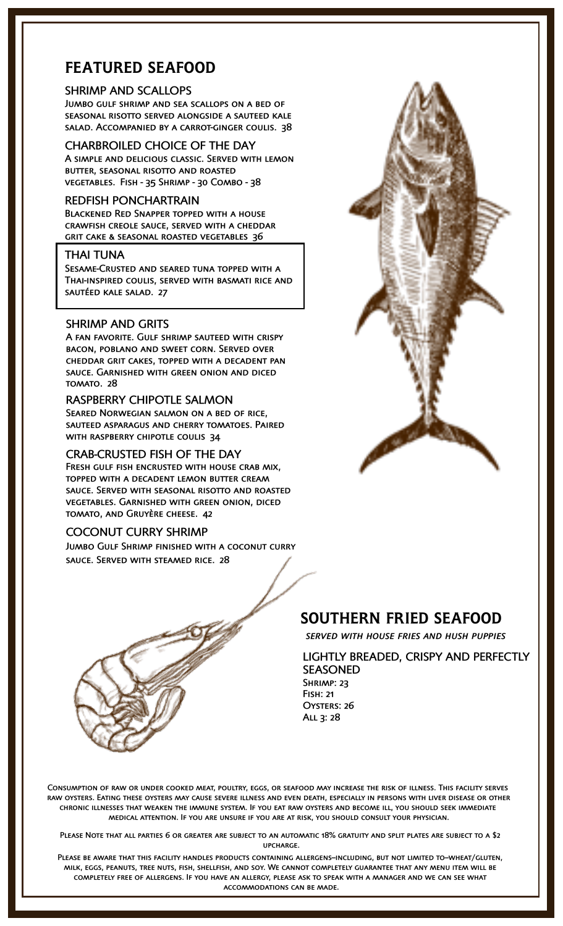# FEATURED SEAFOOD

#### SHRIMP AND SCALLOPS

Jumbo gulf shrimp and sea scallops on a bed of seasonal risotto served alongside a sauteed kale salad. Accompanied by a carrot-ginger coulis. 38

# CHARBROILED CHOICE OF THE DAY

A simple and delicious classic. Served with lemon butter, seasonal risotto and roasted vegetables. Fish - 35 Shrimp - 30 Combo - 38

## REDFISH PONCHARTRAIN

Blackened Red Snapper topped with a house crawfish creole sauce, served with a cheddar grit cake & seasonal roasted vegetables 36

#### THAI TUNA

Sesame-Crusted and seared tuna topped with a Thai-inspired coulis, served with basmati rice and sautéed kale salad. 27

## SHRIMP AND GRITS

A fan favorite. Gulf shrimp sauteed with crispy bacon, poblano and sweet corn. Served over cheddar grit cakes, topped with a decadent pan sauce. Garnished with green onion and diced tomato. 28

#### RASPBERRY CHIPOTLE SALMON

Seared Norwegian salmon on a bed of rice, sauteed asparagus and cherry tomatoes. Paired with raspberry chipotle coulis 34

#### CRAB-CRUSTED FISH OF THE DAY

Fresh gulf fish encrusted with house crab mix, topped with a decadent lemon butter cream sauce. Served with seasonal risotto and roasted vegetables. Garnished with green onion, diced tomato, and Gruyère cheese. 42

## COCONUT CURRY SHRIMP

Jumbo Gulf Shrimp finished with a coconut curry sauce. Served with steamed rice. 28





*served with house fries and hush puppies*

LIGHTLY BREADED, CRISPY AND PERFECTLY SEASONED SHRIMP: 23 Fish: 21 OYSTERS: 26



Consumption of raw or under cooked meat, poultry, eggs, or seafood may increase the risk of illness. This facility serves raw oysters. Eating these oysters may cause severe illness and even death, especially in persons with liver disease or other chronic illnesses that weaken the immune system. If you eat raw oysters and become ill, you should seek immediate medical attention. If you are unsure if you are at risk, you should consult your physician.

All 3: 28

Please Note that all parties 6 or greater are subject to an automatic 18% gratuity and split plates are subject to a \$2 upcharge.

PLEASE BE AWARE THAT THIS FACILITY HANDLES PRODUCTS CONTAINING ALLERGENS-INCLUDING, BUT NOT LIMITED TO-WHEAT/GLUTEN, milk, eggs, peanuts, tree nuts, fish, shellfish, and soy. We cannot completely guarantee that any menu item will be completely free of allergens. If you have an allergy, please ask to speak with a manager and we can see what accommodations can be made.